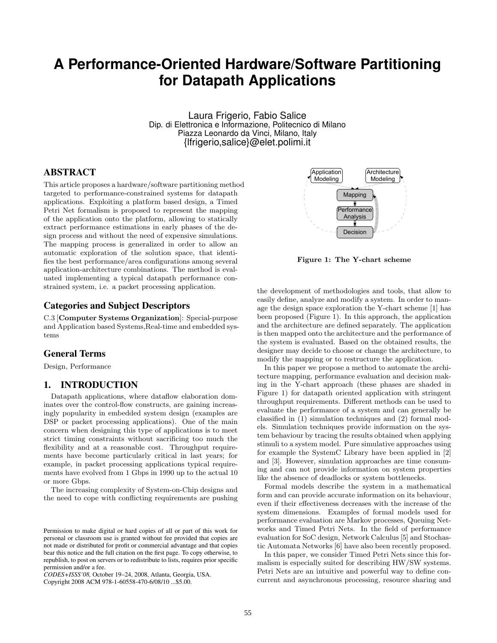# **A Performance-Oriented Hardware/Software Partitioning for Datapath Applications**

Laura Frigerio, Fabio Salice Dip. di Elettronica e Informazione, Politecnico di Milano Piazza Leonardo da Vinci, Milano, Italy {lfrigerio,salice}@elet.polimi.it

# ABSTRACT

This article proposes a hardware/software partitioning method targeted to performance-constrained systems for datapath applications. Exploiting a platform based design, a Timed Petri Net formalism is proposed to represent the mapping of the application onto the platform, allowing to statically extract performance estimations in early phases of the design process and without the need of expensive simulations. The mapping process is generalized in order to allow an automatic exploration of the solution space, that identifies the best performance/area configurations among several application-architecture combinations. The method is evaluated implementing a typical datapath performance constrained system, i.e. a packet processing application.

## Categories and Subject Descriptors

C.3 [Computer Systems Organization]: Special-purpose and Application based Systems,Real-time and embedded systems

## General Terms

Design, Performance

## 1. INTRODUCTION

Datapath applications, where dataflow elaboration dominates over the control-flow constructs, are gaining increasingly popularity in embedded system design (examples are DSP or packet processing applications). One of the main concern when designing this type of applications is to meet strict timing constraints without sacrificing too much the flexibility and at a reasonable cost. Throughput requirements have become particularly critical in last years; for example, in packet processing applications typical requirements have evolved from 1 Gbps in 1990 up to the actual 10 or more Gbps.

The increasing complexity of System-on-Chip designs and the need to cope with conflicting requirements are pushing

*CODES+ISSS'08,* October 19–24, 2008, Atlanta, Georgia, USA.

Copyright 2008 ACM 978-1-60558-470-6/08/10 ...\$5.00.



Figure 1: The Y-chart scheme

the development of methodologies and tools, that allow to easily define, analyze and modify a system. In order to manage the design space exploration the Y-chart scheme [1] has been proposed (Figure 1). In this approach, the application and the architecture are defined separately. The application is then mapped onto the architecture and the performance of the system is evaluated. Based on the obtained results, the designer may decide to choose or change the architecture, to modify the mapping or to restructure the application.

In this paper we propose a method to automate the architecture mapping, performance evaluation and decision making in the Y-chart approach (these phases are shaded in Figure 1) for datapath oriented application with stringent throughput requirements. Different methods can be used to evaluate the performance of a system and can generally be classified in (1) simulation techniques and (2) formal models. Simulation techniques provide information on the system behaviour by tracing the results obtained when applying stimuli to a system model. Pure simulative approaches using for example the SystemC Library have been applied in [2] and [3]. However, simulation approaches are time consuming and can not provide information on system properties like the absence of deadlocks or system bottlenecks.

Formal models describe the system in a mathematical form and can provide accurate information on its behaviour, even if their effectiveness decreases with the increase of the system dimensions. Examples of formal models used for performance evaluation are Markov processes, Queuing Networks and Timed Petri Nets. In the field of performance evaluation for SoC design, Network Calculus [5] and Stochastic Automata Networks [6] have also been recently proposed.

In this paper, we consider Timed Petri Nets since this formalism is especially suited for describing HW/SW systems. Petri Nets are an intuitive and powerful way to define concurrent and asynchronous processing, resource sharing and

Permission to make digital or hard copies of all or part of this work for personal or classroom use is granted without fee provided that copies are not made or distributed for profit or commercial advantage and that copies bear this notice and the full citation on the first page. To copy otherwise, to republish, to post on servers or to redistribute to lists, requires prior specific permission and/or a fee.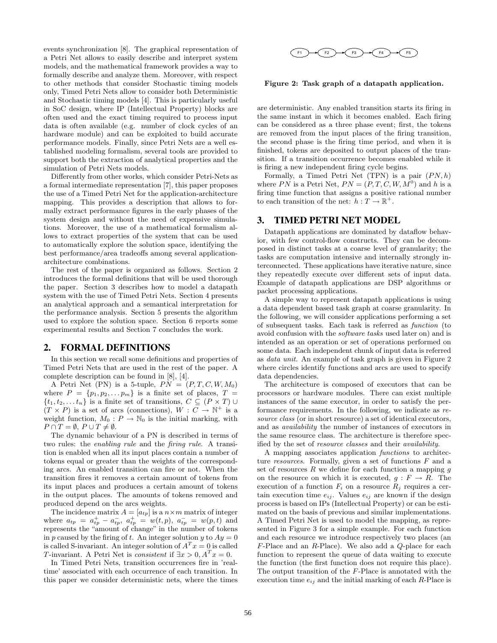events synchronization [8]. The graphical representation of a Petri Net allows to easily describe and interpret system models, and the mathematical framework provides a way to formally describe and analyze them. Moreover, with respect to other methods that consider Stochastic timing models only, Timed Petri Nets allow to consider both Deterministic and Stochastic timing models [4]. This is particularly useful in SoC design, where IP (Intellectual Property) blocks are often used and the exact timing required to process input data is often available (e.g. number of clock cycles of an hardware module) and can be exploited to build accurate performance models. Finally, since Petri Nets are a well established modeling formalism, several tools are provided to support both the extraction of analytical properties and the simulation of Petri Nets models.

Differently from other works, which consider Petri-Nets as a formal intermediate representation [7], this paper proposes the use of a Timed Petri Net for the application-architecture mapping. This provides a description that allows to formally extract performance figures in the early phases of the system design and without the need of expensive simulations. Moreover, the use of a mathematical formalism allows to extract properties of the system that can be used to automatically explore the solution space, identifying the best performance/area tradeoffs among several applicationarchitecture combinations.

The rest of the paper is organized as follows. Section 2 introduces the formal definitions that will be used thorough the paper. Section 3 describes how to model a datapath system with the use of Timed Petri Nets. Section 4 presents an analytical approach and a semantical interpretation for the performance analysis. Section 5 presents the algorithm used to explore the solution space. Section 6 reports some experimental results and Section 7 concludes the work.

## 2. FORMAL DEFINITIONS

In this section we recall some definitions and properties of Timed Petri Nets that are used in the rest of the paper. A complete description can be found in [8], [4].

A Petri Net (PN) is a 5-tuple,  $PN = (P, T, C, W, M_0)$ where  $P = \{p_1, p_2, \ldots, p_m\}$  is a finite set of places,  $T =$  $\{t_1, t_2, \ldots t_n\}$  is a finite set of transitions,  $C \subseteq (P \times T) \cup$  $(T \times P)$  is a set of arcs (connections),  $W : C \to \mathbb{N}^+$  is a weight function,  $M_0: P \to \mathbb{N}_0$  is the initial marking, with  $P \cap T = \emptyset$ ,  $P \cup T \neq \emptyset$ .

The dynamic behaviour of a PN is described in terms of two rules: the enabling rule and the firing rule. A transition is enabled when all its input places contain a number of tokens equal or greater than the weights of the corresponding arcs. An enabled transition can fire or not. When the transition fires it removes a certain amount of tokens from its input places and produces a certain amount of tokens in the output places. The amounts of tokens removed and produced depend on the arcs weights.

The incidence matrix  $A = [a_{tp}]$  is a  $n \times m$  matrix of integer where  $a_{tp} = a_{tp}^+ - a_{tp}^-$ ,  $a_{tp}^+ = w(t,p)$ ,  $a_{tp}^- = w(p,t)$  and represents the "amount of change" in the number of tokens in p caused by the firing of t. An integer solution y to  $Ay = 0$ is called S-invariant. An integer solution of  $A<sup>T</sup> x = 0$  is called T-invariant. A Petri Net is *consistent* if  $\exists x > 0, A^T x = 0$ .

In Timed Petri Nets, transition occurrences fire in 'realtime' associated with each occurrence of each transition. In this paper we consider deterministic nets, where the times



Figure 2: Task graph of a datapath application.

are deterministic. Any enabled transition starts its firing in the same instant in which it becomes enabled. Each firing can be considered as a three phase event; first, the tokens are removed from the input places of the firing transition, the second phase is the firing time period, and when it is finished, tokens are deposited to output places of the transition. If a transition occurrence becomes enabled while it is firing a new independent firing cycle begins.

Formally, a Timed Petri Net (TPN) is a pair  $(PN, h)$ where PN is a Petri Net,  $PN = (P, T, C, W, M^0)$  and h is a firing time function that assigns a positive rational number to each transition of the net:  $h: T \to \mathbb{R}^+$ .

# 3. TIMED PETRI NET MODEL

Datapath applications are dominated by dataflow behavior, with few control-flow constructs. They can be decomposed in distinct tasks at a coarse level of granularity; the tasks are computation intensive and internally strongly interconnected. These applications have iterative nature, since they repeatedly execute over different sets of input data. Example of datapath applications are DSP algorithms or packet processing applications.

A simple way to represent datapath applications is using a data dependent based task graph at coarse granularity. In the following, we will consider applications performing a set of subsequent tasks. Each task is referred as function (to avoid confusion with the software tasks used later on) and is intended as an operation or set of operations performed on some data. Each independent chunk of input data is referred as data unit. An example of task graph is given in Figure 2 where circles identify functions and arcs are used to specify data dependencies.

The architecture is composed of executors that can be processors or hardware modules. There can exist multiple instances of the same executor, in order to satisfy the performance requirements. In the following, we indicate as resource class (or in short resource) a set of identical executors, and as availability the number of instances of executors in the same resource class. The architecture is therefore specified by the set of resource classes and their availability.

A mapping associates application functions to architecture resources. Formally, given a set of functions F and a set of resources  $R$  we define for each function a mapping  $g$ on the resource on which it is executed,  $g : F \to R$ . The execution of a function  $F_i$  on a resource  $R_i$  requires a certain execution time  $e_{ij}$ . Values  $e_{ij}$  are known if the design process is based on IPs (Intellectual Property) or can be estimated on the basis of previous and similar implementations. A Timed Petri Net is used to model the mapping, as represented in Figure 3 for a simple example. For each function and each resource we introduce respectively two places (an F-Place and an R-Place). We also add a Q-place for each function to represent the queue of data waiting to execute the function (the first function does not require this place). The output transition of the F-Place is annotated with the execution time  $e_{ij}$  and the initial marking of each R-Place is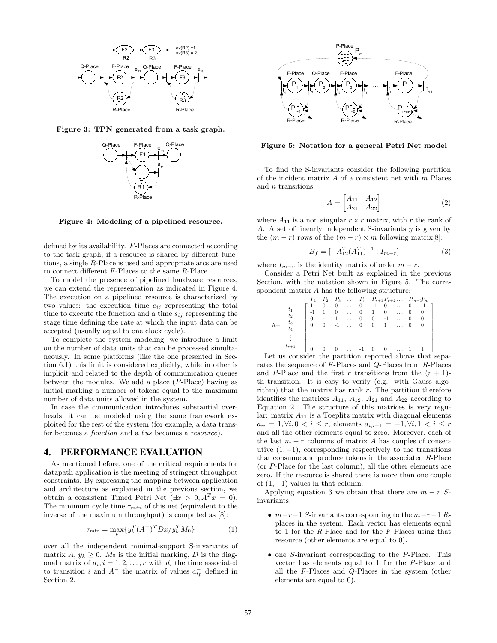

Figure 3: TPN generated from a task graph.



Figure 4: Modeling of a pipelined resource.

defined by its availability. F-Places are connected according to the task graph; if a resource is shared by different functions, a single R-Place is used and appropriate arcs are used to connect different F-Places to the same R-Place.

To model the presence of pipelined hardware resources, we can extend the representation as indicated in Figure 4. The execution on a pipelined resource is characterized by two values: the execution time  $e_{ij}$  representing the total time to execute the function and a time  $s_{ij}$  representing the stage time defining the rate at which the input data can be accepted (usually equal to one clock cycle).

To complete the system modeling, we introduce a limit on the number of data units that can be processed simultaneously. In some platforms (like the one presented in Section 6.1) this limit is considered explicitly, while in other is implicit and related to the depth of communication queues between the modules. We add a place (P-Place) having as initial marking a number of tokens equal to the maximum number of data units allowed in the system.

In case the communication introduces substantial overheads, it can be modeled using the same framework exploited for the rest of the system (for example, a data transfer becomes a function and a bus becomes a resource).

#### 4. PERFORMANCE EVALUATION

As mentioned before, one of the critical requirements for datapath application is the meeting of stringent throughput constraints. By expressing the mapping between application and architecture as explained in the previous section, we obtain a consistent Timed Petri Net  $(\exists x > 0, A^T x = 0)$ . The minimum cycle time  $\tau_{min}$  of this net (equivalent to the inverse of the maximum throughput) is computed as [8]:

$$
\tau_{\min} = \max_{k} \{ y_k^T (A^-)^T D x / y_k^T M_0 \} \tag{1}
$$

over all the independent minimal-support S-invariants of matrix  $A, y_k \geq 0$ .  $M_0$  is the initial marking, D is the diagonal matrix of  $d_i$ ,  $i = 1, 2, \ldots, r$  with  $d_i$  the time associated to transition i and  $A^-$  the matrix of values  $a_{tp}^-$  defined in Section 2.



Figure 5: Notation for a general Petri Net model

To find the S-invariants consider the following partition of the incident matrix  $A$  of a consistent net with  $m$  Places and n transitions:

$$
A = \begin{bmatrix} A_{11} & A_{12} \\ A_{21} & A_{22} \end{bmatrix}
$$
 (2)

where  $A_{11}$  is a non singular  $r \times r$  matrix, with r the rank of A. A set of linearly independent S-invariants  $y$  is given by the  $(m - r)$  rows of the  $(m - r) \times m$  following matrix[8]:

$$
B_f = \left[ -A_{12}^T (A_{11}^T)^{-1} : I_{m-r} \right] \tag{3}
$$

where  $I_{m-r}$  is the identity matrix of order  $m-r$ .

 $\mathbf{A}$ 

Consider a Petri Net built as explained in the previous Section, with the notation shown in Figure 5. The correspondent matrix A has the following structure:

$$
\begin{array}{ccccccccc} & & P_1 & P_2 & P_3 & \ldots & P_r & P_{r+1}P_{r+2}\ldots & P_{m-1}P_m \\ & & & & & & \\ t_1 & & 1 & 0 & 0 & \ldots & 0 & | & -1 & 0 & \ldots & 0 & -1 \\ & & & & & & & & 1 & 0 & \ldots & 0 & 0 \\ t_2 & & 0 & -1 & 1 & \ldots & 0 & 0 & 0 & -1 & \ldots & 0 & 0 \\ & & & & & & & & 0 & 0 & -1 & \ldots & 0 & 0 \\ & & & & & & & & & 0 & 1 & \ldots & 0 & 0 \\ & & & & & & & & & & & \\ t_1 & & & & & & & & & & & \\ t_{r+1} & & & & & & & & & & 0 & \ldots & 1 & 1 \\ \end{array}
$$

Let us consider the partition reported above that separates the sequence of F-Places and Q-Places from R-Places and P-Place and the first r transitions from the  $(r + 1)$ th transition. It is easy to verify (e.g. with Gauss algorithm) that the matrix has rank  $r$ . The partition therefore identifies the matrices  $A_{11}$ ,  $A_{12}$ ,  $A_{21}$  and  $A_{22}$  according to Equation 2. The structure of this matrices is very regular: matrix  $A_{11}$  is a Toeplitz matrix with diagonal elements  $a_{ii} = 1, \forall i, 0 < i \leq r$ , elements  $a_{i,i-1} = -1, \forall i, 1 < i \leq r$ and all the other elements equal to zero. Moreover, each of the last  $m - r$  columns of matrix A has couples of consecutive  $(1, -1)$ , corresponding respectively to the transitions that consume and produce tokens in the associated R-Place (or P-Place for the last column), all the other elements are zero. If the resource is shared there is more than one couple of  $(1, -1)$  values in that column.

Applying equation 3 we obtain that there are  $m - r$  Sinvariants:

- $m-r-1$  S-invariants corresponding to the  $m-r-1$  Rplaces in the system. Each vector has elements equal to 1 for the R-Place and for the F-Places using that resource (other elements are equal to 0).
- one S-invariant corresponding to the P-Place. This vector has elements equal to 1 for the P-Place and all the F-Places and Q-Places in the system (other elements are equal to 0).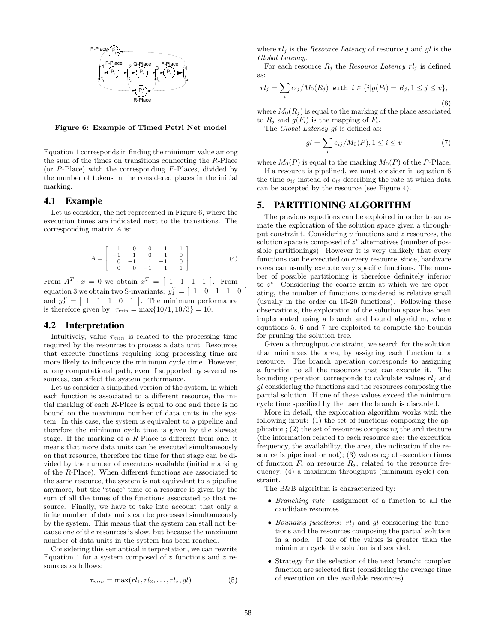

Figure 6: Example of Timed Petri Net model

Equation 1 corresponds in finding the minimum value among the sum of the times on transitions connecting the R-Place (or  $P$ -Place) with the corresponding  $F$ -Places, divided by the number of tokens in the considered places in the initial marking.

#### 4.1 Example

Let us consider, the net represented in Figure 6, where the execution times are indicated next to the transitions. The corresponding matrix A is:

$$
A = \begin{bmatrix} 1 & 0 & 0 & -1 & -1 \\ -1 & 1 & 0 & 1 & 0 \\ 0 & -1 & 1 & -1 & 0 \\ 0 & 0 & -1 & 1 & 1 \end{bmatrix}
$$
 (4)

From  $A^T \cdot x = 0$  we obtain  $x^T = \begin{bmatrix} 1 & 1 & 1 & 1 \end{bmatrix}$ . From equation 3 we obtain two S-invariants:  $y_1^T = \begin{bmatrix} 1 & 0 & 1 & 1 & 0 \end{bmatrix}$ and  $y_2^T = \begin{bmatrix} 1 & 1 & 1 & 0 & 1 \end{bmatrix}$ . The minimum performance is therefore given by:  $\tau_{\min} = \max\{10/1, 10/3\} = 10$ .

### 4.2 Interpretation

Intuitively, value  $\tau_{min}$  is related to the processing time required by the resources to process a data unit. Resources that execute functions requiring long processing time are more likely to influence the minimum cycle time. However, a long computational path, even if supported by several resources, can affect the system performance.

Let us consider a simplified version of the system, in which each function is associated to a different resource, the initial marking of each R-Place is equal to one and there is no bound on the maximum number of data units in the system. In this case, the system is equivalent to a pipeline and therefore the minimum cycle time is given by the slowest stage. If the marking of a R-Place is different from one, it means that more data units can be executed simultaneously on that resource, therefore the time for that stage can be divided by the number of executors available (initial marking of the R-Place). When different functions are associated to the same resource, the system is not equivalent to a pipeline anymore, but the "stage" time of a resource is given by the sum of all the times of the functions associated to that resource. Finally, we have to take into account that only a finite number of data units can be processed simultaneously by the system. This means that the system can stall not because one of the resources is slow, but because the maximum number of data units in the system has been reached.

Considering this semantical interpretation, we can rewrite Equation 1 for a system composed of  $v$  functions and  $z$  resources as follows:

$$
\tau_{min} = \max(rl_1, rl_2,\ldots,rl_z,gl) \tag{5}
$$

where  $rl<sub>j</sub>$  is the *Resource Latency* of resource j and gl is the Global Latency.

For each resource  $R_j$  the Resource Latency  $rl_j$  is defined as:

$$
rl_j = \sum_i e_{ij} / M_0(R_j) \text{ with } i \in \{i | g(F_i) = R_j, 1 \le j \le v\},\tag{6}
$$

where  $M_0(R_i)$  is equal to the marking of the place associated to  $R_j$  and  $g(F_i)$  is the mapping of  $F_i$ .

The *Global Latency* ql is defined as:

$$
gl = \sum_{i} e_{ij} / M_0(P), 1 \le i \le v \tag{7}
$$

where  $M_0(P)$  is equal to the marking  $M_0(P)$  of the P-Place.

If a resource is pipelined, we must consider in equation 6 the time  $s_{ij}$  instead of  $e_{ij}$  describing the rate at which data can be accepted by the resource (see Figure 4).

## 5. PARTITIONING ALGORITHM

The previous equations can be exploited in order to automate the exploration of the solution space given a throughput constraint. Considering  $v$  functions and  $z$  resources, the solution space is composed of  $z^v$  alternatives (number of possible partitionings). However it is very unlikely that every functions can be executed on every resource, since, hardware cores can usually execute very specific functions. The number of possible partitioning is therefore definitely inferior to  $z^v$ . Considering the coarse grain at which we are operating, the number of functions considered is relative small (usually in the order on 10-20 functions). Following these observations, the exploration of the solution space has been implemented using a branch and bound algorithm, where equations 5, 6 and 7 are exploited to compute the bounds for pruning the solution tree.

Given a throughput constraint, we search for the solution that minimizes the area, by assigning each function to a resource. The branch operation corresponds to assigning a function to all the resources that can execute it. The bounding operation corresponds to calculate values  $rl<sub>i</sub>$  and gl considering the functions and the resources composing the partial solution. If one of these values exceed the minimum cycle time specified by the user the branch is discarded.

More in detail, the exploration algorithm works with the following input: (1) the set of functions composing the application; (2) the set of resources composing the architecture (the information related to each resource are: the execution frequency, the availability, the area, the indication if the resource is pipelined or not); (3) values  $e_{ij}$  of execution times of function  $F_i$  on resource  $R_j$ , related to the resource frequency; (4) a maximum throughput (minimum cycle) constraint.

The B&B algorithm is characterized by:

- Branching rule: assignment of a function to all the candidate resources.
- Bounding functions:  $rl_i$  and gl considering the functions and the resources composing the partial solution in a node. If one of the values is greater than the mimimum cycle the solution is discarded.
- Strategy for the selection of the next branch: complex function are selected first (considering the average time of execution on the available resources).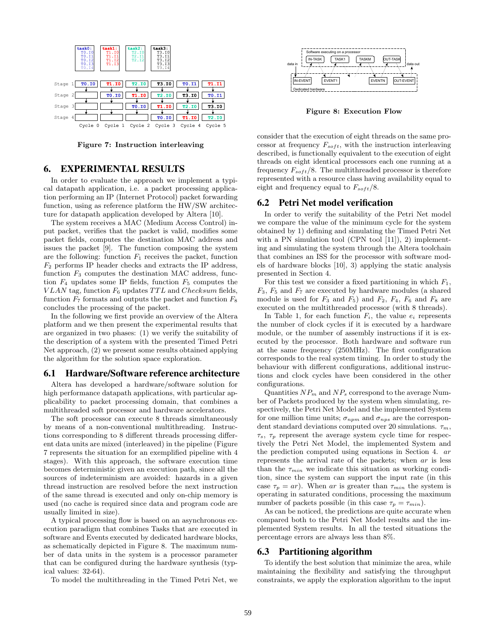

Figure 7: Instruction interleaving

## 6. EXPERIMENTAL RESULTS

In order to evaluate the approach we implement a typical datapath application, i.e. a packet processing application performing an IP (Internet Protocol) packet forwarding function, using as reference platform the HW/SW architecture for datapath application developed by Altera [10].

The system receives a MAC (Medium Access Control) input packet, verifies that the packet is valid, modifies some packet fields, computes the destination MAC address and issues the packet [9]. The function composing the system are the following: function  $F_1$  receives the packet, function  $F_2$  performs IP header checks and extracts the IP address, function  $F_3$  computes the destination MAC address, function  $F_4$  updates some IP fields, function  $F_5$  computes the  $VLAN$  tag, function  $F_6$  updates  $TTL$  and Checksum fields, function  $F_7$  formats and outputs the packet and function  $F_8$ concludes the processing of the packet.

In the following we first provide an overview of the Altera platform and we then present the experimental results that are organized in two phases: (1) we verify the suitability of the description of a system with the presented Timed Petri Net approach, (2) we present some results obtained applying the algorithm for the solution space exploration.

#### 6.1 Hardware/Software reference architecture

Altera has developed a hardware/software solution for high performance datapath applications, with particular applicability to packet processing domain, that combines a multithreaded soft processor and hardware accelerators.

The soft processor can execute 8 threads simultaneously by means of a non-conventional multithreading. Instructions corresponding to 8 different threads processing different data units are mixed (interleaved) in the pipeline (Figure 7 represents the situation for an exemplified pipeline with 4 stages). With this approach, the software execution time becomes deterministic given an execution path, since all the sources of indeterminism are avoided: hazards in a given thread instruction are resolved before the next instruction of the same thread is executed and only on-chip memory is used (no cache is required since data and program code are usually limited in size).

A typical processing flow is based on an asynchronous execution paradigm that combines Tasks that are executed in software and Events executed by dedicated hardware blocks, as schematically depicted in Figure 8. The maximum number of data units in the system is a processor parameter that can be configured during the hardware synthesis (typical values: 32-64).

To model the multithreading in the Timed Petri Net, we



Figure 8: Execution Flow

consider that the execution of eight threads on the same processor at frequency  $F_{soft}$ , with the instruction interleaving described, is functionally equivalent to the execution of eight threads on eight identical processors each one running at a frequency  $F_{soft}/8$ . The multithreaded processor is therefore represented with a resource class having availability equal to eight and frequency equal to  $F_{soft}/8$ .

## 6.2 Petri Net model verification

In order to verify the suitability of the Petri Net model we compare the value of the minimum cycle for the system obtained by 1) defining and simulating the Timed Petri Net with a PN simulation tool (CPN tool [11]), 2) implementing and simulating the system through the Altera toolchain that combines an ISS for the processor with software models of hardware blocks [10], 3) applying the static analysis presented in Section 4.

For this test we consider a fixed partitioning in which  $F_1$ ,  $F_3$ ,  $F_5$  and  $F_7$  are executed by hardware modules (a shared module is used for  $F_3$  and  $F_5$ ) and  $F_2$ ,  $F_4$ ,  $F_6$  and  $F_8$  are executed on the multithreaded processor (with 8 threads).

In Table 1, for each function  $F_i$ , the value  $e_i$  represents the number of clock cycles if it is executed by a hardware module, or the number of assembly instructions if it is executed by the processor. Both hardware and software run at the same frequency (250MHz). The first configuration corresponds to the real system timing. In order to study the behaviour with different configurations, additional instructions and clock cycles have been considered in the other configurations.

Quantities  $NP_m$  and  $NP_s$  correspond to the average Number of Packets produced by the system when simulating, respectively, the Petri Net Model and the implemented System for one million time units;  $\sigma_{npm}$  and  $\sigma_{nps}$  are the correspondent standard deviations computed over 20 simulations.  $\tau_m$ ,  $\tau_s$ ,  $\tau_p$  represent the average system cycle time for respectively the Petri Net Model, the implemented System and the prediction computed using equations in Section 4. ar represents the arrival rate of the packets; when ar is less than the  $\tau_{min}$  we indicate this situation as working condition, since the system can support the input rate (in this case  $\tau_p = ar$ ). When ar is greater than  $\tau_{min}$  the system is operating in saturated conditions, processing the maximum number of packets possible (in this case  $\tau_p = \tau_{min}$ ).

As can be noticed, the predictions are quite accurate when compared both to the Petri Net Model results and the implemented System results. In all the tested situations the percentage errors are always less than 8%.

#### 6.3 Partitioning algorithm

To identify the best solution that minimize the area, while maintaining the flexibility and satisfying the throughput constraints, we apply the exploration algorithm to the input